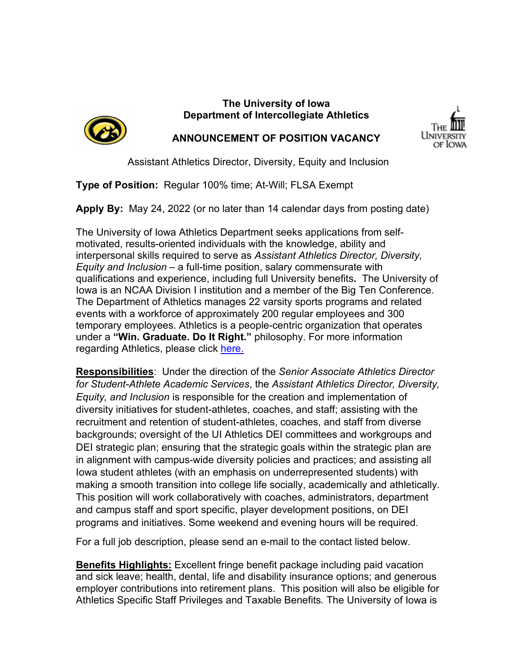

# **The University of Iowa Department of Intercollegiate Athletics**



**ANNOUNCEMENT OF POSITION VACANCY**

Assistant Athletics Director, Diversity, Equity and Inclusion

**Type of Position:** Regular 100% time; At-Will; FLSA Exempt

**Apply By:** May 24, 2022 (or no later than 14 calendar days from posting date)

The University of Iowa Athletics Department seeks applications from selfmotivated, results-oriented individuals with the knowledge, ability and interpersonal skills required to serve as *Assistant Athletics Director, Diversity, Equity and Inclusion* – a full-time position, salary commensurate with qualifications and experience, including full University benefits**.** The University of Iowa is an NCAA Division I institution and a member of the Big Ten Conference. The Department of Athletics manages 22 varsity sports programs and related events with a workforce of approximately 200 regular employees and 300 temporary employees. Athletics is a people-centric organization that operates under a **"Win. Graduate. Do It Right."** philosophy. For more information regarding Athletics, please click [here.](https://hawkeyesports.com/about-ui-athletics/)

**Responsibilities**: Under the direction of the *Senior Associate Athletics Director for Student-Athlete Academic Services*, the *Assistant Athletics Director, Diversity, Equity, and Inclusion* is responsible for the creation and implementation of diversity initiatives for student-athletes, coaches, and staff; assisting with the recruitment and retention of student-athletes, coaches, and staff from diverse backgrounds; oversight of the UI Athletics DEI committees and workgroups and DEI strategic plan; ensuring that the strategic goals within the strategic plan are in alignment with campus-wide diversity policies and practices; and assisting all Iowa student athletes (with an emphasis on underrepresented students) with making a smooth transition into college life socially, academically and athletically. This position will work collaboratively with coaches, administrators, department and campus staff and sport specific, player development positions, on DEI programs and initiatives. Some weekend and evening hours will be required.

For a full job description, please send an e-mail to the contact listed below.

**Benefits Highlights:** Excellent fringe benefit package including paid vacation and sick leave; health, dental, life and disability insurance options; and generous employer contributions into retirement plans. This position will also be eligible for Athletics Specific Staff Privileges and Taxable Benefits*.* The University of Iowa is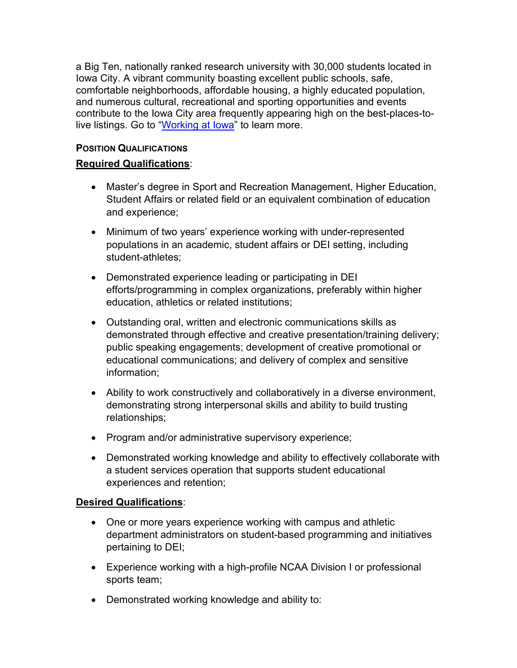a Big Ten, nationally ranked research university with 30,000 students located in Iowa City. A vibrant community boasting excellent public schools, safe, comfortable neighborhoods, affordable housing, a highly educated population, and numerous cultural, recreational and sporting opportunities and events contribute to the Iowa City area frequently appearing high on the best-places-tolive listings. Go to "Working at lowa" to learn more.

## **POSITION QUALIFICATIONS**

### **Required Qualifications**:

- Master's degree in Sport and Recreation Management, Higher Education, Student Affairs or related field or an equivalent combination of education and experience;
- Minimum of two years' experience working with under-represented populations in an academic, student affairs or DEI setting, including student-athletes;
- Demonstrated experience leading or participating in DEI efforts/programming in complex organizations, preferably within higher education, athletics or related institutions;
- Outstanding oral, written and electronic communications skills as demonstrated through effective and creative presentation/training delivery; public speaking engagements; development of creative promotional or educational communications; and delivery of complex and sensitive information;
- Ability to work constructively and collaboratively in a diverse environment, demonstrating strong interpersonal skills and ability to build trusting relationships;
- Program and/or administrative supervisory experience;
- Demonstrated working knowledge and ability to effectively collaborate with a student services operation that supports student educational experiences and retention;

#### **Desired Qualifications**:

- One or more years experience working with campus and athletic department administrators on student-based programming and initiatives pertaining to DEI;
- Experience working with a high-profile NCAA Division I or professional sports team;
- Demonstrated working knowledge and ability to: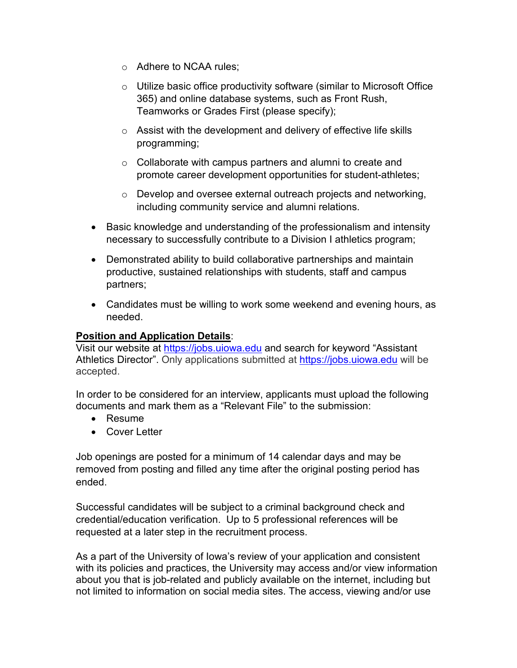- o Adhere to NCAA rules;
- o Utilize basic office productivity software (similar to Microsoft Office 365) and online database systems, such as Front Rush, Teamworks or Grades First (please specify);
- $\circ$  Assist with the development and delivery of effective life skills programming;
- o Collaborate with campus partners and alumni to create and promote career development opportunities for student-athletes;
- o Develop and oversee external outreach projects and networking, including community service and alumni relations.
- Basic knowledge and understanding of the professionalism and intensity necessary to successfully contribute to a Division I athletics program;
- Demonstrated ability to build collaborative partnerships and maintain productive, sustained relationships with students, staff and campus partners;
- Candidates must be willing to work some weekend and evening hours, as needed.

## **Position and Application Details**:

Visit our website at [https://jobs.uiowa.](https://jobs.uiowa/)edu and search for keyword "Assistant Athletics Director". Only applications submitted at [https://jobs.uiowa.edu](https://jobs.uiowa.edu/) will be accepted.

In order to be considered for an interview, applicants must upload the following documents and mark them as a "Relevant File" to the submission:

- Resume
- Cover Letter

Job openings are posted for a minimum of 14 calendar days and may be removed from posting and filled any time after the original posting period has ended.

Successful candidates will be subject to a criminal background check and credential/education verification. Up to 5 professional references will be requested at a later step in the recruitment process.

As a part of the University of Iowa's review of your application and consistent with its policies and practices, the University may access and/or view information about you that is job-related and publicly available on the internet, including but not limited to information on social media sites. The access, viewing and/or use